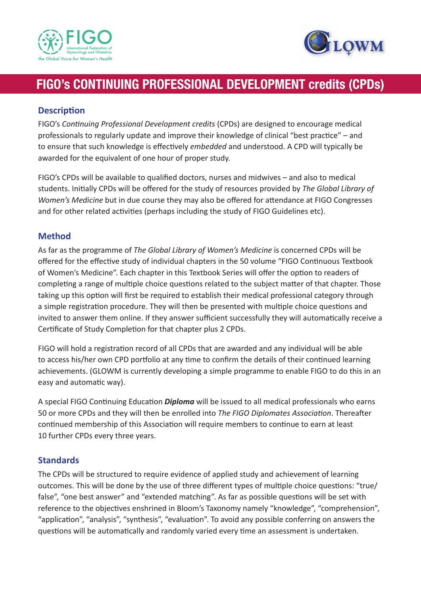



# **FIGO's CONTINUING PROFESSIONAL DEVELOPMENT credits (CPDs)**

## **Description**

FIGO's *Continuing Professional Development credits* (CPDs) are designed to encourage medical professionals to regularly update and improve their knowledge of clinical "best practice" – and to ensure that such knowledge is effectively *embedded* and understood. A CPD will typically be awarded for the equivalent of one hour of proper study.

FIGO's CPDs will be available to qualified doctors, nurses and midwives – and also to medical students. Initially CPDs will be offered for the study of resources provided by *The Global Library of Women's Medicine* but in due course they may also be offered for attendance at FIGO Congresses and for other related activities (perhaps including the study of FIGO Guidelines etc).

## **Method**

As far as the programme of *The Global Library of Women's Medicine* is concerned CPDs will be offered for the effective study of individual chapters in the 50 volume "FIGO Continuous Textbook of Women's Medicine". Each chapter in this Textbook Series will offer the option to readers of completing a range of multiple choice questions related to the subject matter of that chapter. Those taking up this option will first be required to establish their medical professional category through a simple registration procedure. They will then be presented with multiple choice questions and invited to answer them online. If they answer sufficient successfully they will automatically receive a Certificate of Study Completion for that chapter plus 2 CPDs.

FIGO will hold a registration record of all CPDs that are awarded and any individual will be able to access his/her own CPD portfolio at any time to confirm the details of their continued learning achievements. (GLOWM is currently developing a simple programme to enable FIGO to do this in an easy and automatic way).

A special FIGO Continuing Education *Diploma* will be issued to all medical professionals who earns 50 or more CPDs and they will then be enrolled into *The FIGO Diplomates Association*. Thereafter continued membership of this Association will require members to continue to earn at least 10 further CPDs every three years.

### **Standards**

The CPDs will be structured to require evidence of applied study and achievement of learning outcomes. This will be done by the use of three different types of multiple choice questions: "true/ false", "one best answer" and "extended matching". As far as possible questions will be set with reference to the objectives enshrined in Bloom's Taxonomy namely "knowledge", "comprehension", "application", "analysis", "synthesis", "evaluation". To avoid any possible conferring on answers the questions will be automatically and randomly varied every time an assessment is undertaken.